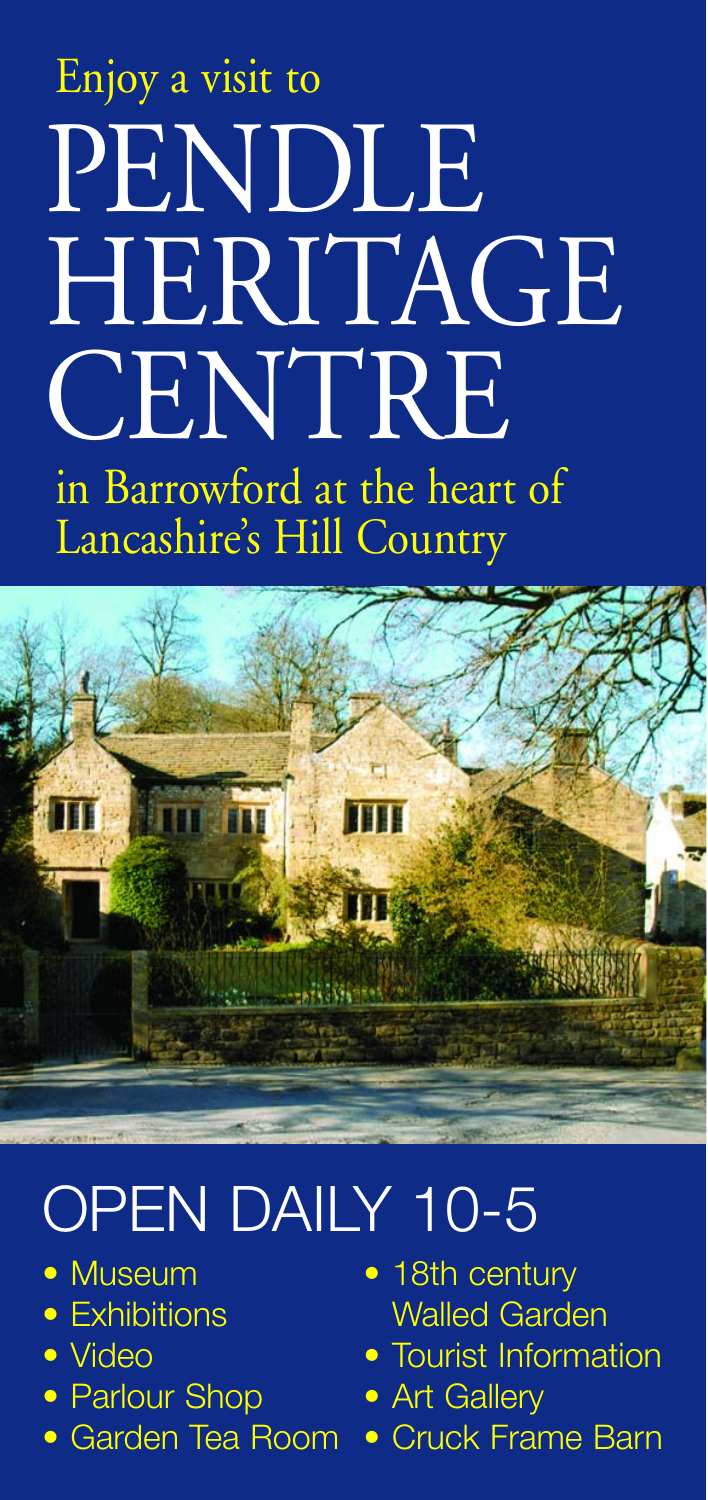# Enjoy a visit to PENDLE HERITAGE **CENTRE** in Barrowford at the heart of Lancashire's Hill Country



## OPEN DAILY 10-5

- Museum
- Exhibitions
- Video
- Parlour Shop
- Garden Tea Room
- 18th century Walled Garden
- Tourist Information
- Art Gallery
- Cruck Frame Barn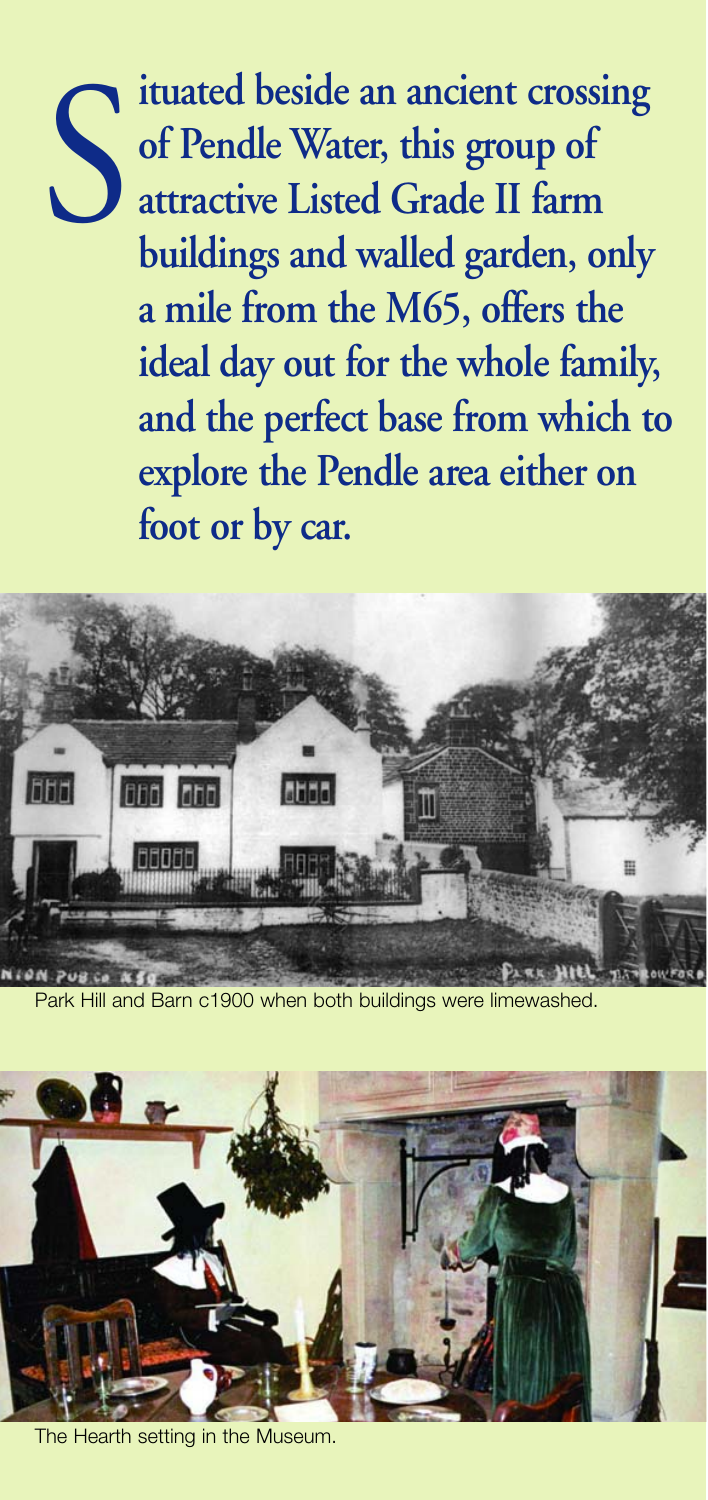

**ituated beside an ancient crossing of Pendle Water, this group of attractive Listed Grade II farm buildings and walled garden, only a mile from the M65, offers the ideal day out for the whole family, and the perfect base from which to explore the Pendle area either on foot or by car.**



Park Hill and Barn c1900 when both buildings were limewashed.



The Hearth setting in the Museum.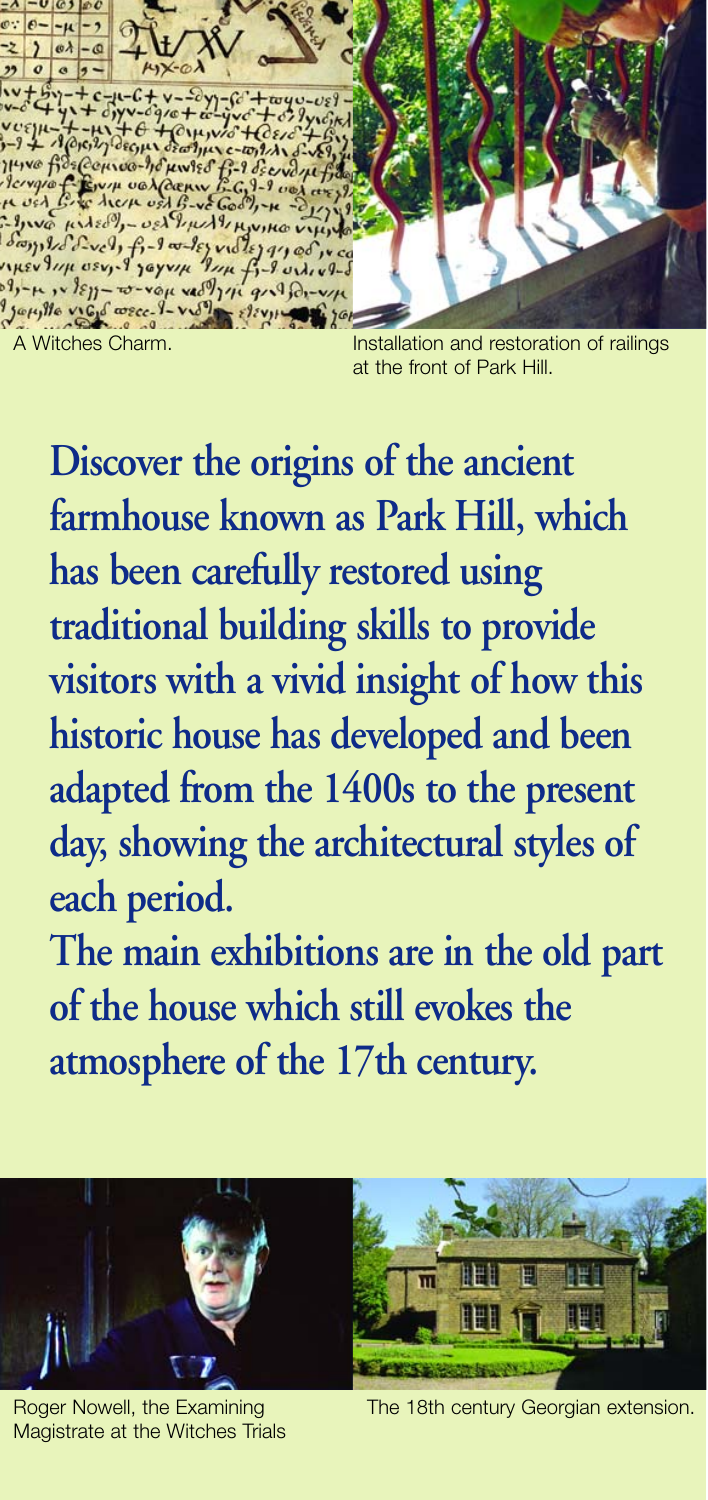$-299 - 66$  $\mu x - \omega_1 2$ 38 Couros  $\mu$ wies  $f_{i-1}$ d  $y_1$   $\varphi$   $\mu$   $\lambda$   $\vartheta$ , -verthurthrunk  $\frac{1}{2}$  $9114 + 13 - 8011109$ 1, - p , v } = 1 - 20 - vou ved 7 11 9 - 4 D .-Japille vicid corect-ville elev A Witches Charm. **Installation and restoration of railings** 

at the front of Park Hill.

**Discover the origins of the ancient farmhouse known as Park Hill, which has been carefully restored using traditional building skills to provide visitors with a vivid insight of how this historic house has developed and been adapted from the 1400s to the present day, showing the architectural styles of each period.**

**The main exhibitions are in the old part of the house which still evokes the atmosphere of the 17th century.**



Magistrate at the Witches Trials

Roger Nowell, the Examining The 18th century Georgian extension.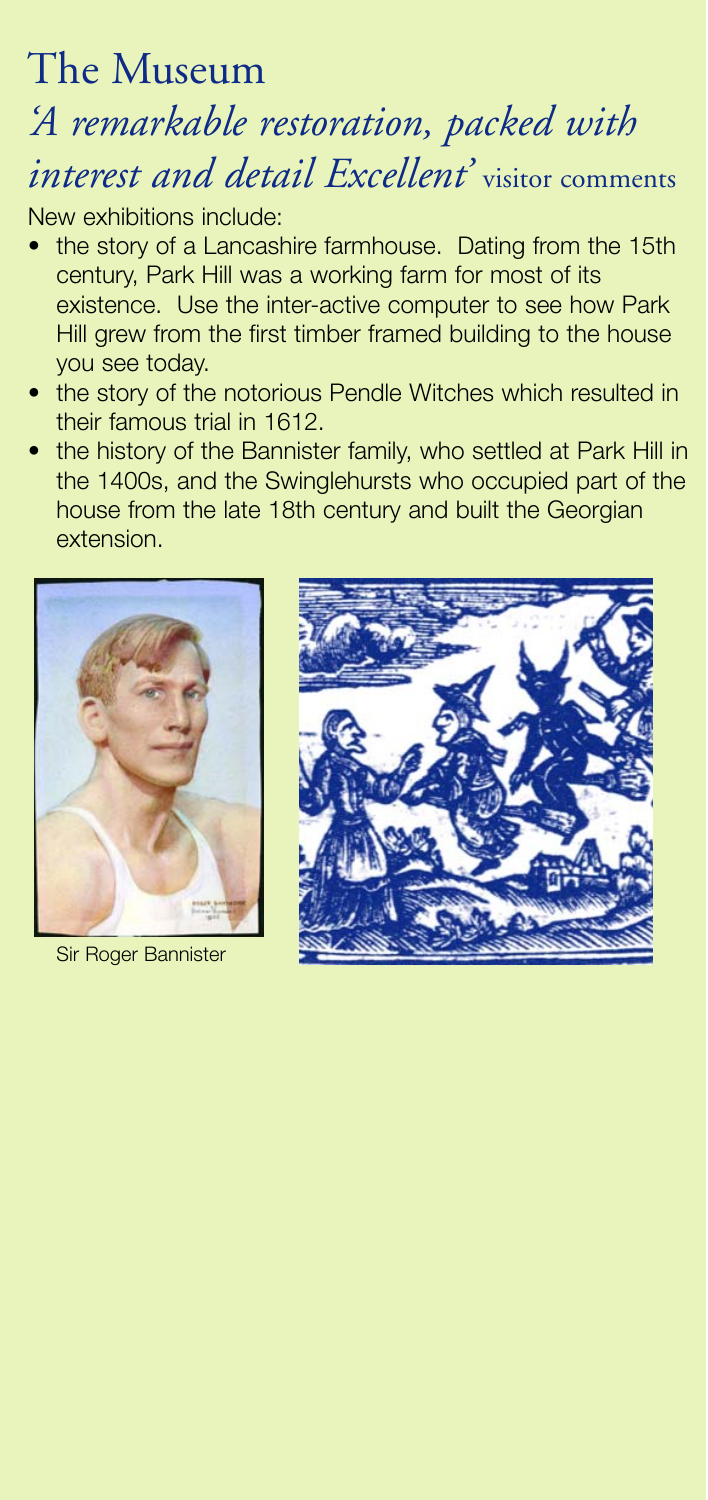#### The Museum

### *'A remarkable restoration, packed with interest and detail Excellent'* visitor comments

New exhibitions include:

- the story of a Lancashire farmhouse. Dating from the 15th century, Park Hill was a working farm for most of its existence. Use the inter-active computer to see how Park Hill grew from the first timber framed building to the house you see today.
- the story of the notorious Pendle Witches which resulted in their famous trial in 1612.
- the history of the Bannister family, who settled at Park Hill in the 1400s, and the Swinglehursts who occupied part of the house from the late 18th century and built the Georgian extension.



Sir Roger Bannister

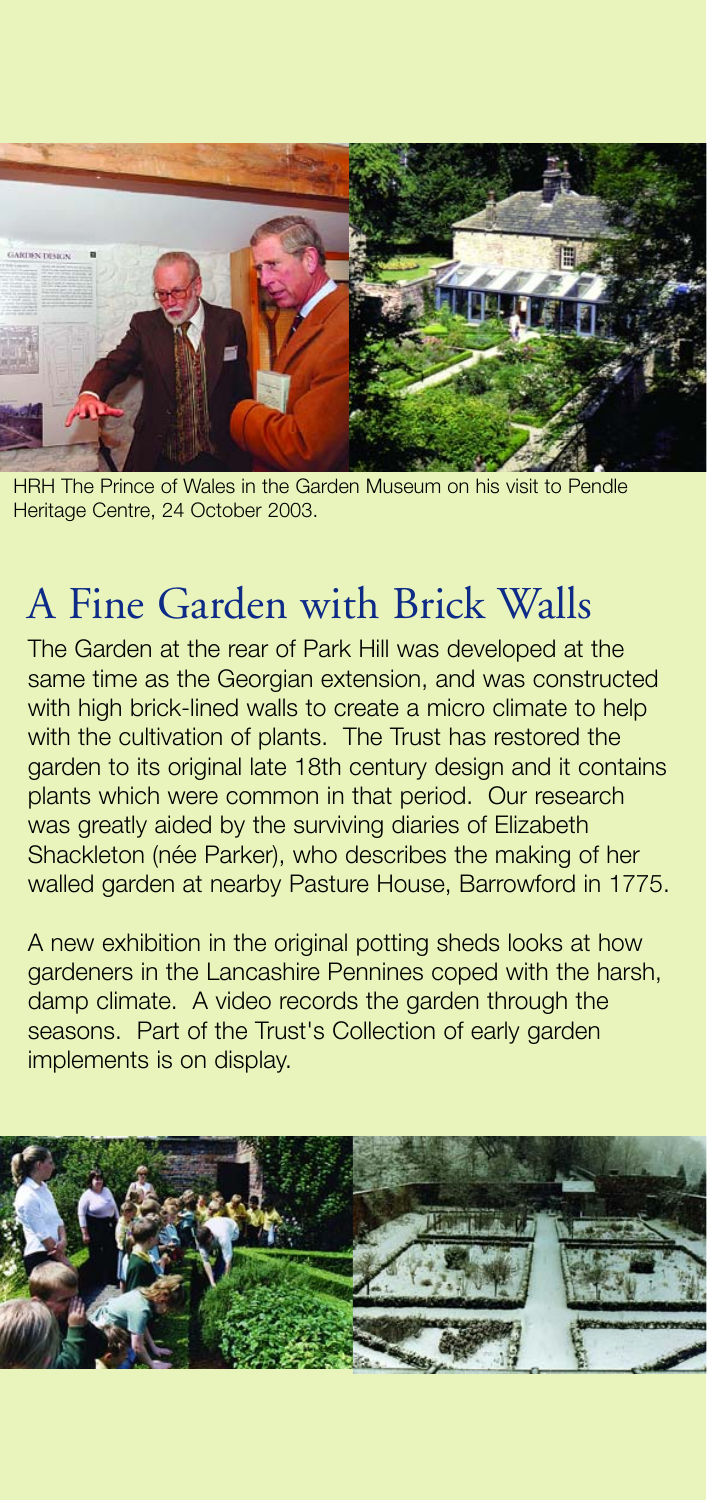

HRH The Prince of Wales in the Garden Museum on his visit to Pendle Heritage Centre, 24 October 2003.

#### A Fine Garden with Brick Walls

The Garden at the rear of Park Hill was developed at the same time as the Georgian extension, and was constructed with high brick-lined walls to create a micro climate to help with the cultivation of plants. The Trust has restored the garden to its original late 18th century design and it contains plants which were common in that period. Our research was greatly aided by the surviving diaries of Elizabeth Shackleton (née Parker), who describes the making of her walled garden at nearby Pasture House, Barrowford in 1775.

A new exhibition in the original potting sheds looks at how gardeners in the Lancashire Pennines coped with the harsh, damp climate. A video records the garden through the seasons. Part of the Trust's Collection of early garden implements is on display.

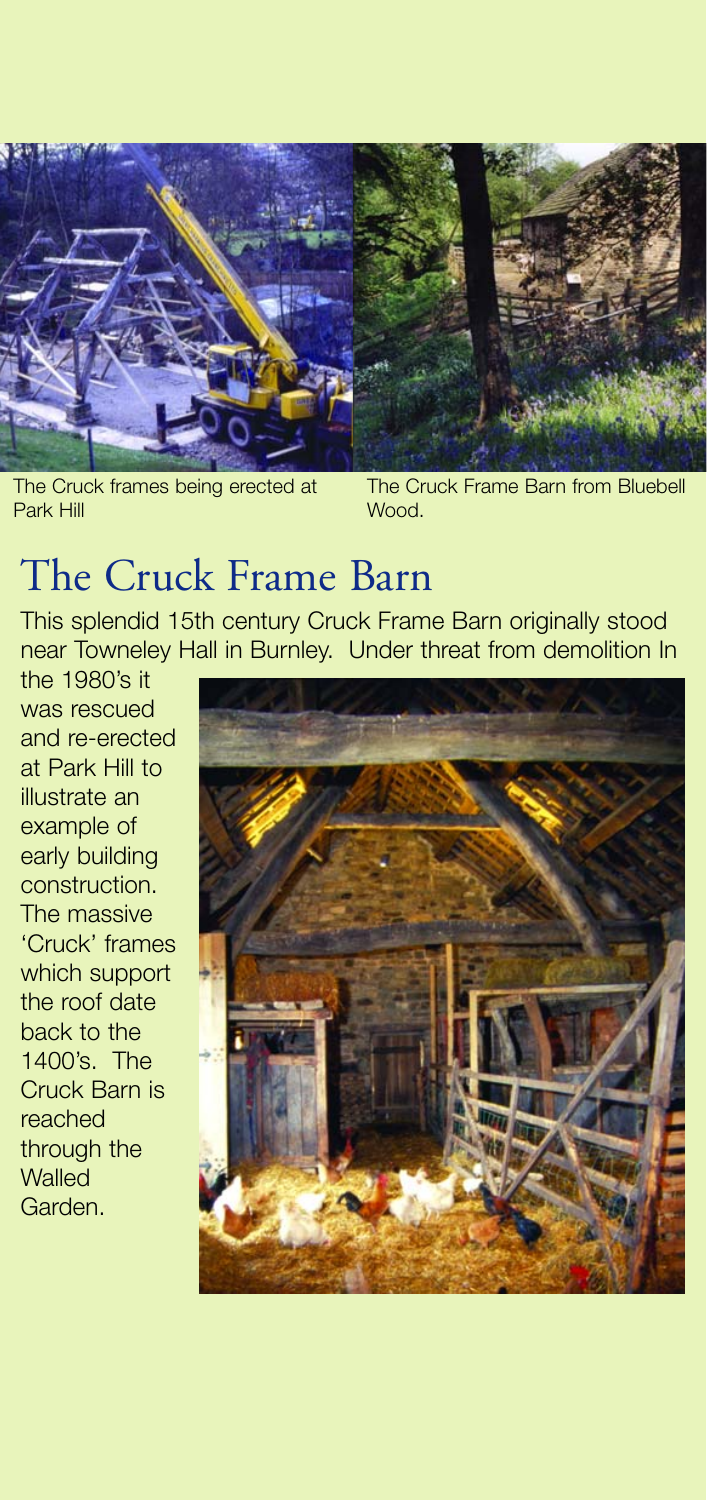

The Cruck frames being erected at Park Hill

The Cruck Frame Barn from Bluebell Wood.

#### The Cruck Frame Barn

This splendid 15th century Cruck Frame Barn originally stood near Towneley Hall in Burnley. Under threat from demolition In

the 1980's it was rescued and re-erected at Park Hill to illustrate an example of early building construction. The massive 'Cruck' frames which support the roof date back to the 1400's. The Cruck Barn is reached through the **Walled** Garden.

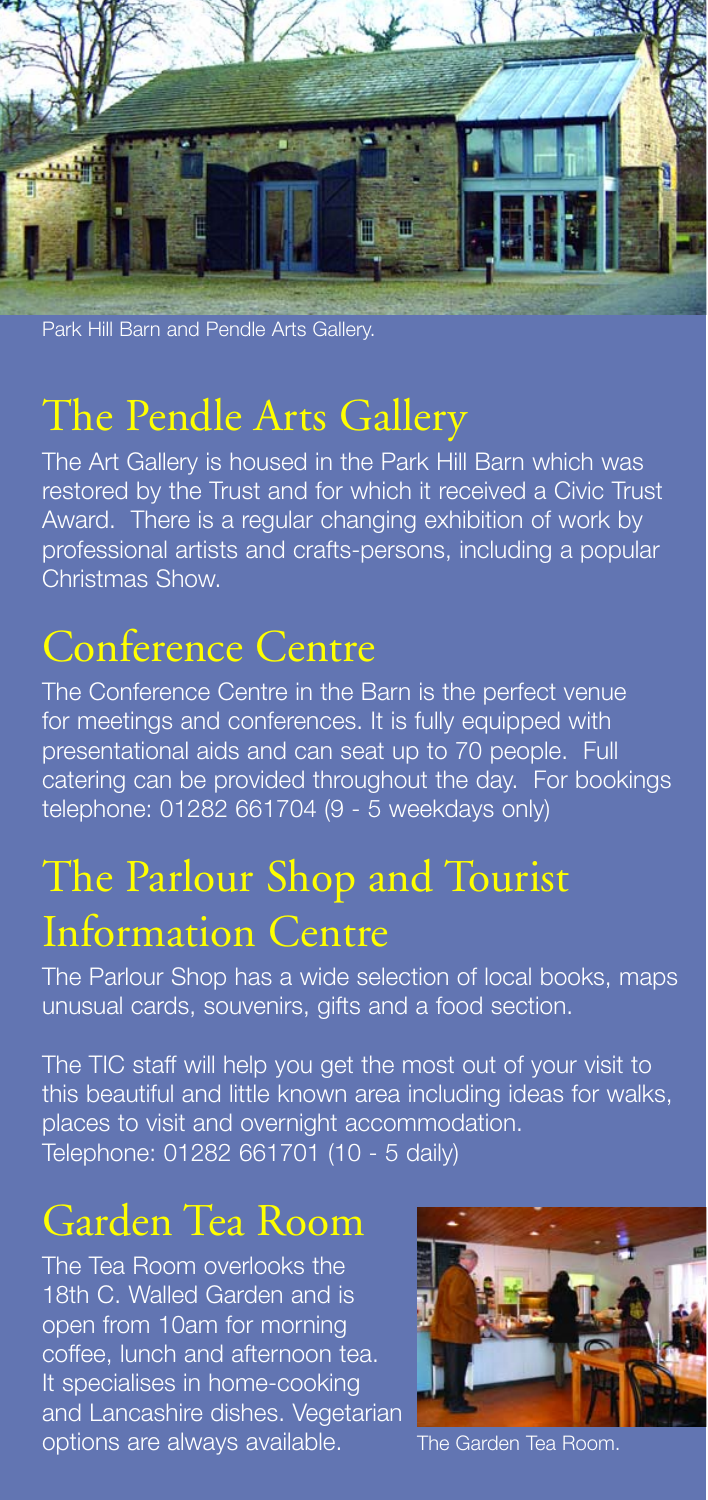

Park Hill Barn and Pendle Arts Gallery.

#### The Pendle Arts Gallery

The Art Gallery is housed in the Park Hill Barn which was restored by the Trust and for which it received a Civic Trust Award. There is a regular changing exhibition of work by professional artists and crafts-persons, including a popular Christmas Show.

#### Conference Centre

The Conference Centre in the Barn is the perfect venue for meetings and conferences. It is fully equipped with presentational aids and can seat up to 70 people. Full catering can be provided throughout the day. For bookings telephone: 01282 661704 (9 - 5 weekdays only)

#### The Parlour Shop and Tourist Information Centre

The Parlour Shop has a wide selection of local books, maps unusual cards, souvenirs, gifts and a food section.

The TIC staff will help you get the most out of your visit to this beautiful and little known area including ideas for walks, places to visit and overnight accommodation. Telephone: 01282 661701 (10 - 5 daily)

#### Garden Tea Room

The Tea Room overlooks the 18th C. Walled Garden and is open from 10am for morning coffee, lunch and afternoon tea. It specialises in home-cooking and Lancashire dishes. Vegetarian options are always available. The Garden Tea Room.

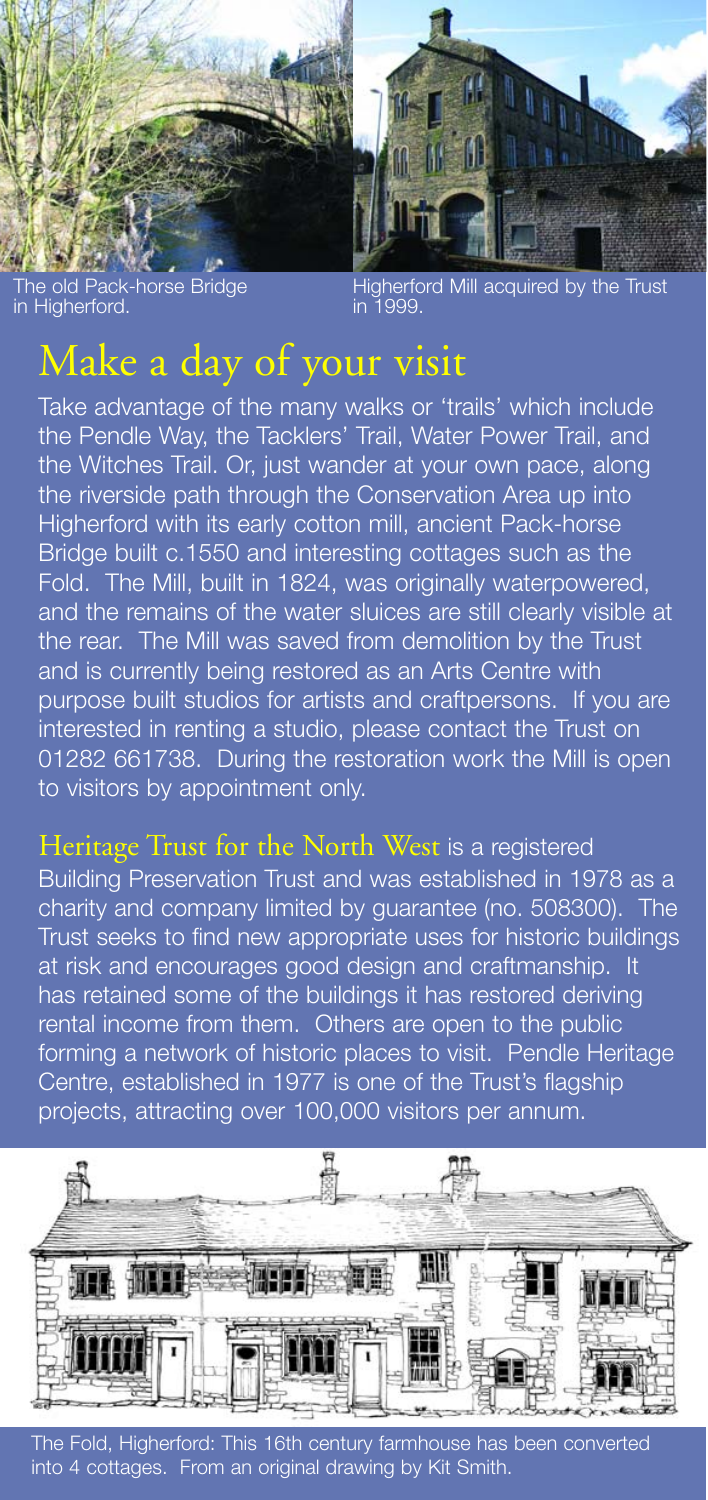



The old Pack-horse Bridge in Higherford.

Higherford Mill acquired by the Trust in 1999.

#### Make a day of your visit

Take advantage of the many walks or 'trails' which include the Pendle Way, the Tacklers' Trail, Water Power Trail, and the Witches Trail. Or, just wander at your own pace, along the riverside path through the Conservation Area up into Higherford with its early cotton mill, ancient Pack-horse Bridge built c.1550 and interesting cottages such as the Fold. The Mill, built in 1824, was originally waterpowered, and the remains of the water sluices are still clearly visible at the rear. The Mill was saved from demolition by the Trust and is currently being restored as an Arts Centre with purpose built studios for artists and craftpersons. If you are interested in renting a studio, please contact the Trust on 01282 661738. During the restoration work the Mill is open to visitors by appointment only.

Heritage Trust for the North West is a registered Building Preservation Trust and was established in 1978 as a charity and company limited by guarantee (no. 508300). The Trust seeks to find new appropriate uses for historic buildings at risk and encourages good design and craftmanship. It has retained some of the buildings it has restored deriving rental income from them. Others are open to the public forming a network of historic places to visit. Pendle Heritage Centre, established in 1977 is one of the Trust's flagship projects, attracting over 100,000 visitors per annum.



The Fold, Higherford: This 16th century farmhouse has been converted into 4 cottages. From an original drawing by Kit Smith.